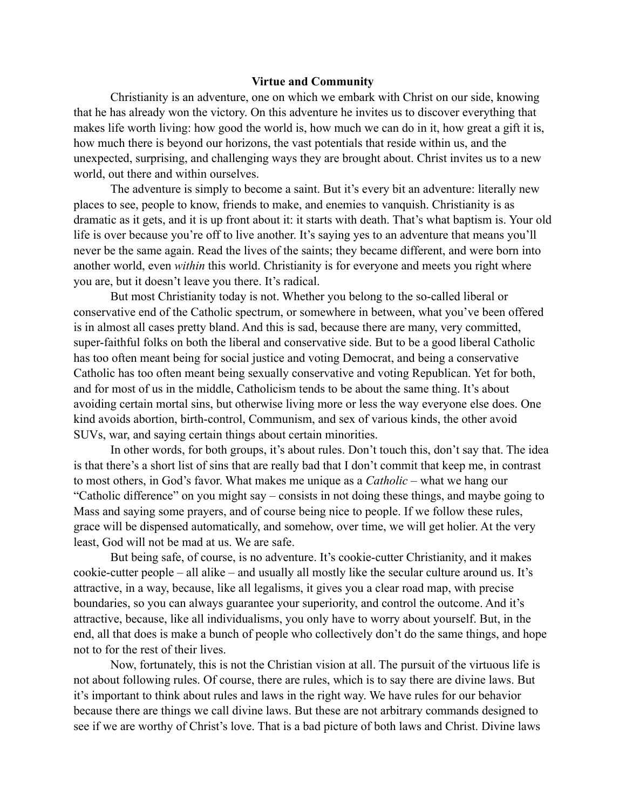## **Virtue and Community**

Christianity is an adventure, one on which we embark with Christ on our side, knowing that he has already won the victory. On this adventure he invites us to discover everything that makes life worth living: how good the world is, how much we can do in it, how great a gift it is, how much there is beyond our horizons, the vast potentials that reside within us, and the unexpected, surprising, and challenging ways they are brought about. Christ invites us to a new world, out there and within ourselves.

The adventure is simply to become a saint. But it's every bit an adventure: literally new places to see, people to know, friends to make, and enemies to vanquish. Christianity is as dramatic as it gets, and it is up front about it: it starts with death. That's what baptism is. Your old life is over because you're off to live another. It's saying yes to an adventure that means you'll never be the same again. Read the lives of the saints; they became different, and were born into another world, even *within* this world. Christianity is for everyone and meets you right where you are, but it doesn't leave you there. It's radical.

But most Christianity today is not. Whether you belong to the so-called liberal or conservative end of the Catholic spectrum, or somewhere in between, what you've been offered is in almost all cases pretty bland. And this is sad, because there are many, very committed, super-faithful folks on both the liberal and conservative side. But to be a good liberal Catholic has too often meant being for social justice and voting Democrat, and being a conservative Catholic has too often meant being sexually conservative and voting Republican. Yet for both, and for most of us in the middle, Catholicism tends to be about the same thing. It's about avoiding certain mortal sins, but otherwise living more or less the way everyone else does. One kind avoids abortion, birth-control, Communism, and sex of various kinds, the other avoid SUVs, war, and saying certain things about certain minorities.

In other words, for both groups, it's about rules. Don't touch this, don't say that. The idea is that there's a short list of sins that are really bad that I don't commit that keep me, in contrast to most others, in God's favor. What makes me unique as a *Catholic* – what we hang our "Catholic difference" on you might say – consists in not doing these things, and maybe going to Mass and saying some prayers, and of course being nice to people. If we follow these rules, grace will be dispensed automatically, and somehow, over time, we will get holier. At the very least, God will not be mad at us. We are safe.

But being safe, of course, is no adventure. It's cookie-cutter Christianity, and it makes cookie-cutter people – all alike – and usually all mostly like the secular culture around us. It's attractive, in a way, because, like all legalisms, it gives you a clear road map, with precise boundaries, so you can always guarantee your superiority, and control the outcome. And it's attractive, because, like all individualisms, you only have to worry about yourself. But, in the end, all that does is make a bunch of people who collectively don't do the same things, and hope not to for the rest of their lives.

Now, fortunately, this is not the Christian vision at all. The pursuit of the virtuous life is not about following rules. Of course, there are rules, which is to say there are divine laws. But it's important to think about rules and laws in the right way. We have rules for our behavior because there are things we call divine laws. But these are not arbitrary commands designed to see if we are worthy of Christ's love. That is a bad picture of both laws and Christ. Divine laws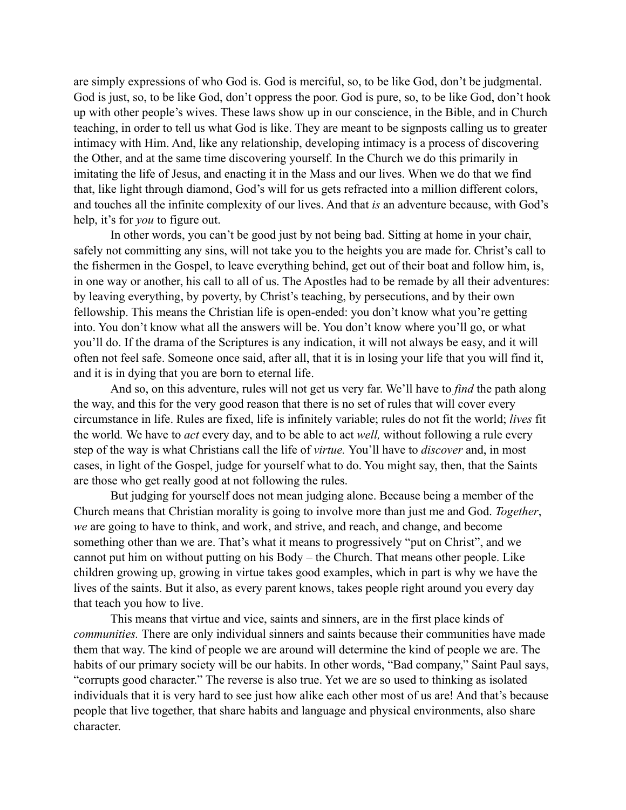are simply expressions of who God is. God is merciful, so, to be like God, don't be judgmental. God is just, so, to be like God, don't oppress the poor. God is pure, so, to be like God, don't hook up with other people's wives. These laws show up in our conscience, in the Bible, and in Church teaching, in order to tell us what God is like. They are meant to be signposts calling us to greater intimacy with Him. And, like any relationship, developing intimacy is a process of discovering the Other, and at the same time discovering yourself. In the Church we do this primarily in imitating the life of Jesus, and enacting it in the Mass and our lives. When we do that we find that, like light through diamond, God's will for us gets refracted into a million different colors, and touches all the infinite complexity of our lives. And that *is* an adventure because, with God's help, it's for *you* to figure out.

In other words, you can't be good just by not being bad. Sitting at home in your chair, safely not committing any sins, will not take you to the heights you are made for. Christ's call to the fishermen in the Gospel, to leave everything behind, get out of their boat and follow him, is, in one way or another, his call to all of us. The Apostles had to be remade by all their adventures: by leaving everything, by poverty, by Christ's teaching, by persecutions, and by their own fellowship. This means the Christian life is open-ended: you don't know what you're getting into. You don't know what all the answers will be. You don't know where you'll go, or what you'll do. If the drama of the Scriptures is any indication, it will not always be easy, and it will often not feel safe. Someone once said, after all, that it is in losing your life that you will find it, and it is in dying that you are born to eternal life.

And so, on this adventure, rules will not get us very far. We'll have to *find* the path along the way, and this for the very good reason that there is no set of rules that will cover every circumstance in life. Rules are fixed, life is infinitely variable; rules do not fit the world; *lives* fit the world*.* We have to *act* every day, and to be able to act *well,* without following a rule every step of the way is what Christians call the life of *virtue.* You'll have to *discover* and, in most cases, in light of the Gospel, judge for yourself what to do. You might say, then, that the Saints are those who get really good at not following the rules.

But judging for yourself does not mean judging alone. Because being a member of the Church means that Christian morality is going to involve more than just me and God. *Together*, *we* are going to have to think, and work, and strive, and reach, and change, and become something other than we are. That's what it means to progressively "put on Christ", and we cannot put him on without putting on his Body – the Church. That means other people. Like children growing up, growing in virtue takes good examples, which in part is why we have the lives of the saints. But it also, as every parent knows, takes people right around you every day that teach you how to live.

This means that virtue and vice, saints and sinners, are in the first place kinds of *communities.* There are only individual sinners and saints because their communities have made them that way. The kind of people we are around will determine the kind of people we are. The habits of our primary society will be our habits. In other words, "Bad company," Saint Paul says, "corrupts good character." The reverse is also true. Yet we are so used to thinking as isolated individuals that it is very hard to see just how alike each other most of us are! And that's because people that live together, that share habits and language and physical environments, also share character.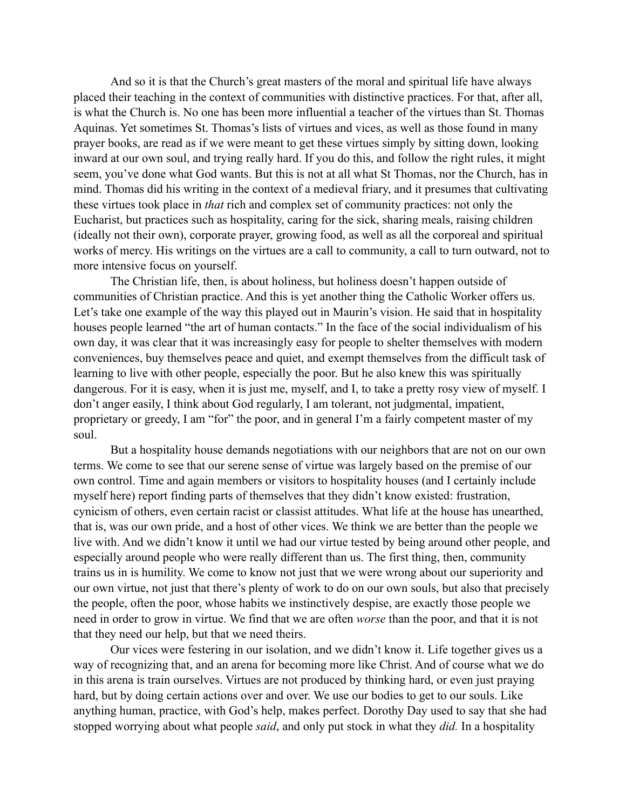And so it is that the Church's great masters of the moral and spiritual life have always placed their teaching in the context of communities with distinctive practices. For that, after all, is what the Church is. No one has been more influential a teacher of the virtues than St. Thomas Aquinas. Yet sometimes St. Thomas's lists of virtues and vices, as well as those found in many prayer books, are read as if we were meant to get these virtues simply by sitting down, looking inward at our own soul, and trying really hard. If you do this, and follow the right rules, it might seem, you've done what God wants. But this is not at all what St Thomas, nor the Church, has in mind. Thomas did his writing in the context of a medieval friary, and it presumes that cultivating these virtues took place in *that* rich and complex set of community practices: not only the Eucharist, but practices such as hospitality, caring for the sick, sharing meals, raising children (ideally not their own), corporate prayer, growing food, as well as all the corporeal and spiritual works of mercy. His writings on the virtues are a call to community, a call to turn outward, not to more intensive focus on yourself.

The Christian life, then, is about holiness, but holiness doesn't happen outside of communities of Christian practice. And this is yet another thing the Catholic Worker offers us. Let's take one example of the way this played out in Maurin's vision. He said that in hospitality houses people learned "the art of human contacts." In the face of the social individualism of his own day, it was clear that it was increasingly easy for people to shelter themselves with modern conveniences, buy themselves peace and quiet, and exempt themselves from the difficult task of learning to live with other people, especially the poor. But he also knew this was spiritually dangerous. For it is easy, when it is just me, myself, and I, to take a pretty rosy view of myself. I don't anger easily, I think about God regularly, I am tolerant, not judgmental, impatient, proprietary or greedy, I am "for" the poor, and in general I'm a fairly competent master of my soul.

But a hospitality house demands negotiations with our neighbors that are not on our own terms. We come to see that our serene sense of virtue was largely based on the premise of our own control. Time and again members or visitors to hospitality houses (and I certainly include myself here) report finding parts of themselves that they didn't know existed: frustration, cynicism of others, even certain racist or classist attitudes. What life at the house has unearthed, that is, was our own pride, and a host of other vices. We think we are better than the people we live with. And we didn't know it until we had our virtue tested by being around other people, and especially around people who were really different than us. The first thing, then, community trains us in is humility. We come to know not just that we were wrong about our superiority and our own virtue, not just that there's plenty of work to do on our own souls, but also that precisely the people, often the poor, whose habits we instinctively despise, are exactly those people we need in order to grow in virtue. We find that we are often *worse* than the poor, and that it is not that they need our help, but that we need theirs.

Our vices were festering in our isolation, and we didn't know it. Life together gives us a way of recognizing that, and an arena for becoming more like Christ. And of course what we do in this arena is train ourselves. Virtues are not produced by thinking hard, or even just praying hard, but by doing certain actions over and over. We use our bodies to get to our souls. Like anything human, practice, with God's help, makes perfect. Dorothy Day used to say that she had stopped worrying about what people *said*, and only put stock in what they *did.* In a hospitality